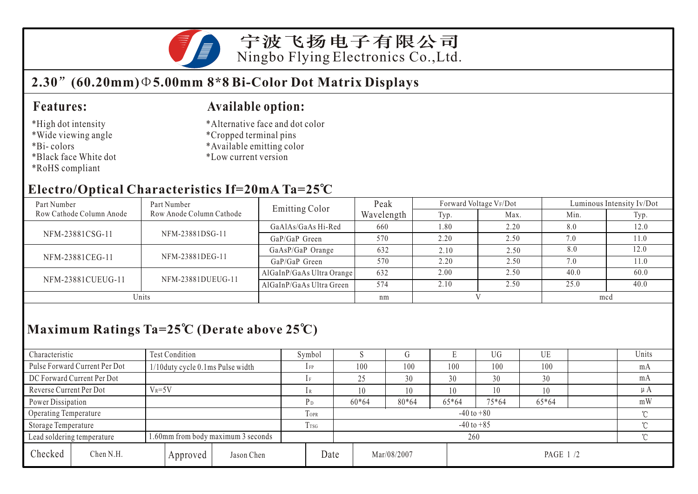

## **2.30 (60.20mm) 5.00mm 8\*8 Bi-Color Dot Matrix Displays**

#### **Features:**

#### \*High dot intensity

- \*Wide viewing angle
- \*Bi- colors
- \*Black face White dot
- \*RoHS compliant

#### **Available option:**

- \*Alternative face and dot color
- \*Cropped terminal pins
- \*Available emitting color
- \*Low current version

#### **Electro/Optical Characteristics If=20mA Ta=25 C**

| Part Number              | Part Number              | <b>Emitting Color</b>     | Peak       | Forward Voltage VF/Dot |      | Luminous Intensity Iv/Dot |      |  |
|--------------------------|--------------------------|---------------------------|------------|------------------------|------|---------------------------|------|--|
| Row Cathode Column Anode | Row Anode Column Cathode |                           | Wavelength | Typ.                   | Max. | Min.                      | Typ. |  |
| NFM-23881CSG-11          |                          | GaAlAs/GaAs Hi-Red        | 660        | 1.80                   | 2.20 | 8.0                       | 12.0 |  |
|                          | NFM-23881DSG-11          | $GaP/GaP$ Green           | 570        | 2.20                   | 2.50 | 7.0                       | 11.0 |  |
| NFM-23881CEG-11          |                          | GaAsP/GaP Orange          | 632        | 2.10                   | 2.50 | 8.0                       | 12.0 |  |
|                          | NFM-23881DEG-11          | GaP/GaP Green             | 570        | 2.20                   | 2.50 | 7.0                       | 11.0 |  |
| NFM-23881CUEUG-11        |                          | AlGaInP/GaAs Ultra Orange | 632        | 2.00                   | 2.50 | 40.0                      | 60.0 |  |
|                          | NFM-23881DUEUG-11        | AlGaInP/GaAs Ultra Green  | 574        | 2.10                   | 2.50 | 25.0                      | 40.0 |  |
| Units                    |                          |                           | nm         |                        |      | mcd                       |      |  |

# **Maximum Ratings Ta=25 C (Derate above 25 C)**

| Characteristic                                                   |                               | Test Condition                     |            |                | Symbol                   |         |             |       | UG        | UE    |          | Units   |
|------------------------------------------------------------------|-------------------------------|------------------------------------|------------|----------------|--------------------------|---------|-------------|-------|-----------|-------|----------|---------|
|                                                                  | Pulse Forward Current Per Dot | 1/10 duty cycle 0.1 ms Pulse width |            |                | $1$ FP                   | 100     | 100         | 100   | 100       | 100   |          | mA      |
|                                                                  | DC Forward Current Per Dot    |                                    |            |                |                          | 25      | 30          | 30    | 30        | 30    |          | mA      |
| Reverse Current Per Dot                                          |                               | $V_R = 5V$                         |            |                | 1 R                      |         | 10          | 10    | 10        | 10    |          | $\mu A$ |
| Power Dissipation                                                |                               |                                    |            |                | P <sub>D</sub>           | $60*64$ | $80*64$     | 65*64 | $75*64$   | 65*64 |          | mW      |
| Operating Temperature                                            |                               |                                    |            | <b>TOPR</b>    | $-40$ to $+80$<br>$\sim$ |         |             |       |           |       |          |         |
| Storage Temperature                                              |                               |                                    | I TSG      | $-40$ to $+85$ |                          |         |             |       |           |       |          |         |
| 1.60mm from body maximum 3 seconds<br>Lead soldering temperature |                               |                                    |            |                | 260                      |         |             |       |           |       | $\gamma$ |         |
| Checked                                                          | Chen N.H.                     | Approved                           | Jason Chen |                | Date                     |         | Mar/08/2007 |       | PAGE 1 /2 |       |          |         |